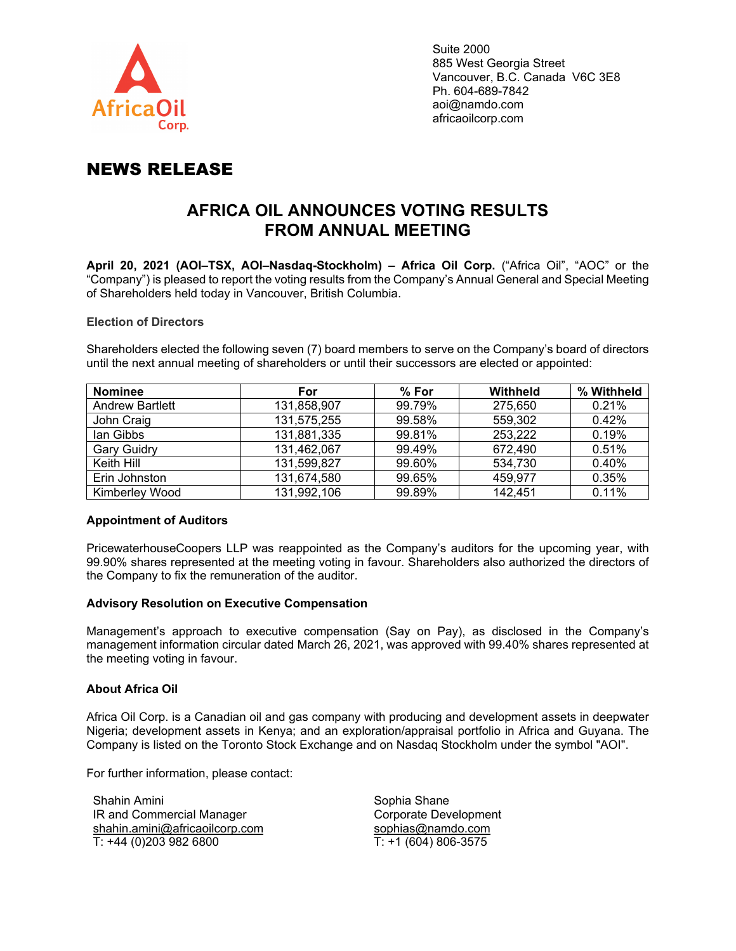

# NEWS RELEASE

# **AFRICA OIL ANNOUNCES VOTING RESULTS FROM ANNUAL MEETING**

**April 20, 2021 (AOI–TSX, AOI–Nasdaq-Stockholm) – Africa Oil Corp.** ("Africa Oil", "AOC" or the "Company") is pleased to report the voting results from the Company's Annual General and Special Meeting of Shareholders held today in Vancouver, British Columbia.

### **Election of Directors**

Shareholders elected the following seven (7) board members to serve on the Company's board of directors until the next annual meeting of shareholders or until their successors are elected or appointed:

| <b>Nominee</b>         | <b>For</b>  | $%$ For | Withheld | % Withheld |
|------------------------|-------------|---------|----------|------------|
| <b>Andrew Bartlett</b> | 131,858,907 | 99.79%  | 275,650  | 0.21%      |
| John Craig             | 131,575,255 | 99.58%  | 559,302  | 0.42%      |
| lan Gibbs              | 131,881,335 | 99.81%  | 253,222  | 0.19%      |
| <b>Gary Guidry</b>     | 131,462,067 | 99.49%  | 672,490  | 0.51%      |
| Keith Hill             | 131,599,827 | 99.60%  | 534,730  | 0.40%      |
| Erin Johnston          | 131,674,580 | 99.65%  | 459,977  | 0.35%      |
| Kimberley Wood         | 131,992,106 | 99.89%  | 142,451  | 0.11%      |

## **Appointment of Auditors**

PricewaterhouseCoopers LLP was reappointed as the Company's auditors for the upcoming year, with 99.90% shares represented at the meeting voting in favour. Shareholders also authorized the directors of the Company to fix the remuneration of the auditor.

#### **Advisory Resolution on Executive Compensation**

Management's approach to executive compensation (Say on Pay), as disclosed in the Company's management information circular dated March 26, 2021, was approved with 99.40% shares represented at the meeting voting in favour.

## **About Africa Oil**

Africa Oil Corp. is a Canadian oil and gas company with producing and development assets in deepwater Nigeria; development assets in Kenya; and an exploration/appraisal portfolio in Africa and Guyana. The Company is listed on the Toronto Stock Exchange and on Nasdaq Stockholm under the symbol "AOI".

For further information, please contact:

Shahin Amini IR and Commercial Manager [shahin.amini@africaoilcorp.com](mailto:shahin.amini@africaoilcorp.com) T: +44 (0)203 982 6800

Sophia Shane Corporate Development [sophias@namdo.com](mailto:sophias@namdo.com) T: +1 (604) 806-3575